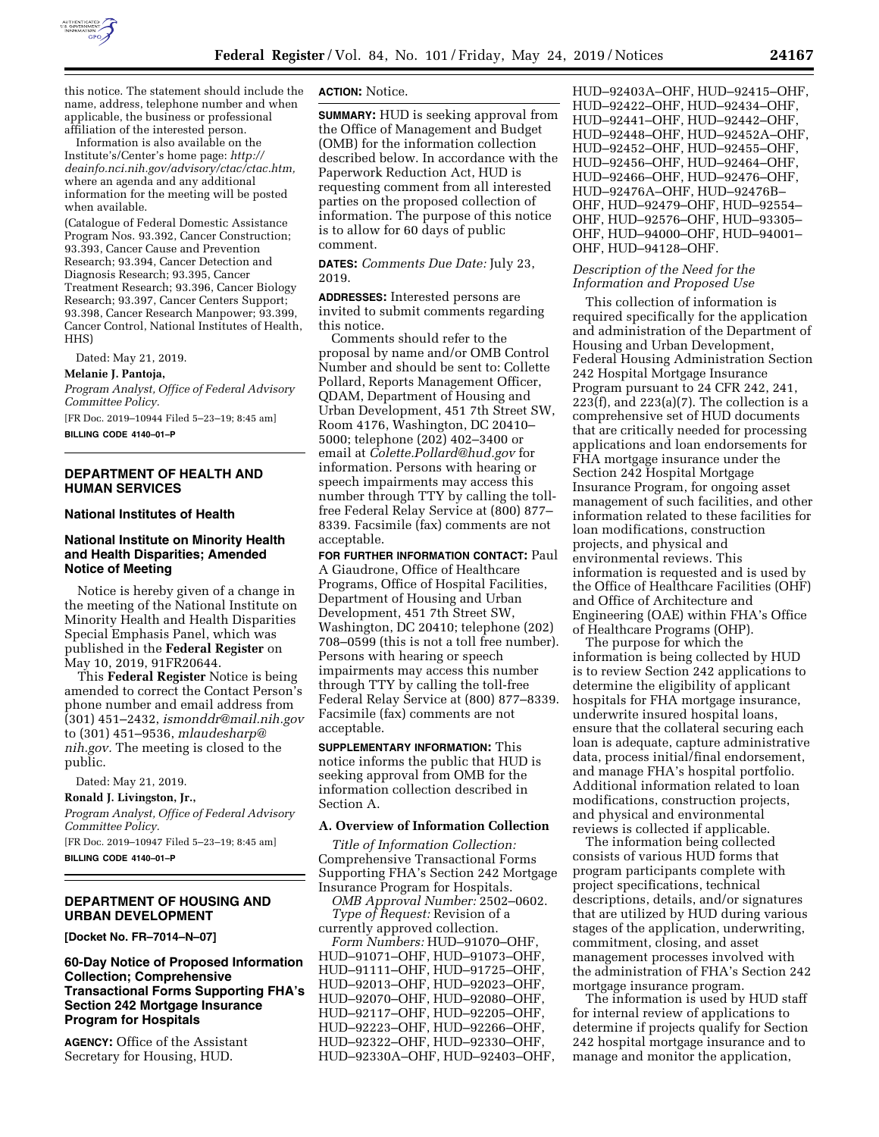

this notice. The statement should include the name, address, telephone number and when applicable, the business or professional affiliation of the interested person.

Information is also available on the Institute's/Center's home page: *[http://](http://deainfo.nci.nih.gov/advisory/ctac/ctac.htm) [deainfo.nci.nih.gov/advisory/ctac/ctac.htm,](http://deainfo.nci.nih.gov/advisory/ctac/ctac.htm)*  where an agenda and any additional information for the meeting will be posted when available.

(Catalogue of Federal Domestic Assistance Program Nos. 93.392, Cancer Construction; 93.393, Cancer Cause and Prevention Research; 93.394, Cancer Detection and Diagnosis Research; 93.395, Cancer Treatment Research; 93.396, Cancer Biology Research; 93.397, Cancer Centers Support; 93.398, Cancer Research Manpower; 93.399, Cancer Control, National Institutes of Health, HHS)

Dated: May 21, 2019.

#### **Melanie J. Pantoja,**

*Program Analyst, Office of Federal Advisory Committee Policy.* 

[FR Doc. 2019–10944 Filed 5–23–19; 8:45 am]

**BILLING CODE 4140–01–P** 

### **DEPARTMENT OF HEALTH AND HUMAN SERVICES**

#### **National Institutes of Health**

### **National Institute on Minority Health and Health Disparities; Amended Notice of Meeting**

Notice is hereby given of a change in the meeting of the National Institute on Minority Health and Health Disparities Special Emphasis Panel, which was published in the **Federal Register** on May 10, 2019, 91FR20644.

This **Federal Register** Notice is being amended to correct the Contact Person's phone number and email address from (301) 451–2432, *[ismonddr@mail.nih.gov](mailto:ismonddr@mail.nih.gov)*  to (301) 451–9536, *[mlaudesharp@](mailto:mlaudesharp@nih.gov) [nih.gov.](mailto:mlaudesharp@nih.gov)* The meeting is closed to the public.

Dated: May 21, 2019.

**Ronald J. Livingston, Jr.,** 

*Program Analyst, Office of Federal Advisory Committee Policy.* 

[FR Doc. 2019–10947 Filed 5–23–19; 8:45 am] **BILLING CODE 4140–01–P** 

# **DEPARTMENT OF HOUSING AND URBAN DEVELOPMENT**

**[Docket No. FR–7014–N–07]** 

### **60-Day Notice of Proposed Information Collection; Comprehensive Transactional Forms Supporting FHA's Section 242 Mortgage Insurance Program for Hospitals**

**AGENCY:** Office of the Assistant Secretary for Housing, HUD.

**ACTION:** Notice.

**SUMMARY:** HUD is seeking approval from the Office of Management and Budget (OMB) for the information collection described below. In accordance with the Paperwork Reduction Act, HUD is requesting comment from all interested parties on the proposed collection of information. The purpose of this notice is to allow for 60 days of public comment.

**DATES:** *Comments Due Date:* July 23, 2019.

**ADDRESSES:** Interested persons are invited to submit comments regarding this notice.

Comments should refer to the proposal by name and/or OMB Control Number and should be sent to: Collette Pollard, Reports Management Officer, QDAM, Department of Housing and Urban Development, 451 7th Street SW, Room 4176, Washington, DC 20410– 5000; telephone (202) 402–3400 or email at *[Colette.Pollard@hud.gov](mailto:Colette.Pollard@hud.gov)* for information. Persons with hearing or speech impairments may access this number through TTY by calling the tollfree Federal Relay Service at (800) 877– 8339. Facsimile (fax) comments are not acceptable.

**FOR FURTHER INFORMATION CONTACT:** Paul A Giaudrone, Office of Healthcare Programs, Office of Hospital Facilities, Department of Housing and Urban Development, 451 7th Street SW, Washington, DC 20410; telephone (202) 708–0599 (this is not a toll free number). Persons with hearing or speech impairments may access this number through TTY by calling the toll-free Federal Relay Service at (800) 877–8339. Facsimile (fax) comments are not acceptable.

**SUPPLEMENTARY INFORMATION:** This notice informs the public that HUD is seeking approval from OMB for the information collection described in Section A.

#### **A. Overview of Information Collection**

*Title of Information Collection:*  Comprehensive Transactional Forms Supporting FHA's Section 242 Mortgage Insurance Program for Hospitals.

*OMB Approval Number:* 2502–0602. *Type of Request:* Revision of a currently approved collection.

*Form Numbers:* HUD–91070–OHF, HUD–91071–OHF, HUD–91073–OHF, HUD–91111–OHF, HUD–91725–OHF, HUD–92013–OHF, HUD–92023–OHF, HUD–92070–OHF, HUD–92080–OHF, HUD–92117–OHF, HUD–92205–OHF, HUD–92223–OHF, HUD–92266–OHF, HUD–92322–OHF, HUD–92330–OHF, HUD–92330A–OHF, HUD–92403–OHF, HUD–92403A–OHF, HUD–92415–OHF, HUD–92422–OHF, HUD–92434–OHF, HUD–92441–OHF, HUD–92442–OHF, HUD–92448–OHF, HUD–92452A–OHF, HUD–92452–OHF, HUD–92455–OHF, HUD–92456–OHF, HUD–92464–OHF, HUD–92466–OHF, HUD–92476–OHF, HUD–92476A–OHF, HUD–92476B– OHF, HUD–92479–OHF, HUD–92554– OHF, HUD–92576–OHF, HUD–93305– OHF, HUD–94000–OHF, HUD–94001– OHF, HUD–94128–OHF.

### *Description of the Need for the Information and Proposed Use*

This collection of information is required specifically for the application and administration of the Department of Housing and Urban Development, Federal Housing Administration Section 242 Hospital Mortgage Insurance Program pursuant to 24 CFR 242, 241,  $223(f)$ , and  $223(a)(7)$ . The collection is a comprehensive set of HUD documents that are critically needed for processing applications and loan endorsements for FHA mortgage insurance under the Section 242 Hospital Mortgage Insurance Program, for ongoing asset management of such facilities, and other information related to these facilities for loan modifications, construction projects, and physical and environmental reviews. This information is requested and is used by the Office of Healthcare Facilities (OHF) and Office of Architecture and Engineering (OAE) within FHA's Office of Healthcare Programs (OHP).

The purpose for which the information is being collected by HUD is to review Section 242 applications to determine the eligibility of applicant hospitals for FHA mortgage insurance, underwrite insured hospital loans, ensure that the collateral securing each loan is adequate, capture administrative data, process initial/final endorsement, and manage FHA's hospital portfolio. Additional information related to loan modifications, construction projects, and physical and environmental reviews is collected if applicable.

The information being collected consists of various HUD forms that program participants complete with project specifications, technical descriptions, details, and/or signatures that are utilized by HUD during various stages of the application, underwriting, commitment, closing, and asset management processes involved with the administration of FHA's Section 242 mortgage insurance program.

The information is used by HUD staff for internal review of applications to determine if projects qualify for Section 242 hospital mortgage insurance and to manage and monitor the application,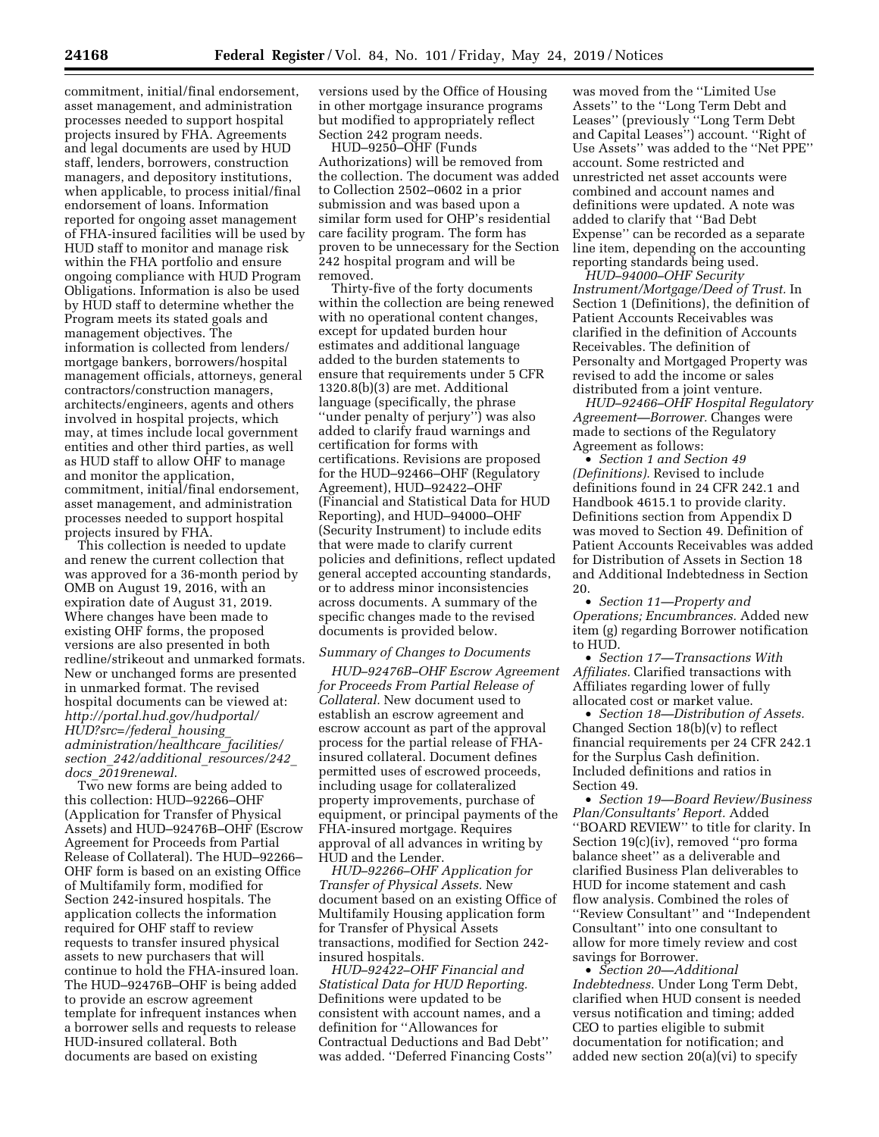commitment, initial/final endorsement, asset management, and administration processes needed to support hospital projects insured by FHA. Agreements and legal documents are used by HUD staff, lenders, borrowers, construction managers, and depository institutions, when applicable, to process initial/final endorsement of loans. Information reported for ongoing asset management of FHA-insured facilities will be used by HUD staff to monitor and manage risk within the FHA portfolio and ensure ongoing compliance with HUD Program Obligations. Information is also be used by HUD staff to determine whether the Program meets its stated goals and management objectives. The information is collected from lenders/ mortgage bankers, borrowers/hospital management officials, attorneys, general contractors/construction managers, architects/engineers, agents and others involved in hospital projects, which may, at times include local government entities and other third parties, as well as HUD staff to allow OHF to manage and monitor the application, commitment, initial/final endorsement, asset management, and administration processes needed to support hospital projects insured by FHA.

This collection is needed to update and renew the current collection that was approved for a 36-month period by OMB on August 19, 2016, with an expiration date of August 31, 2019. Where changes have been made to existing OHF forms, the proposed versions are also presented in both redline/strikeout and unmarked formats. New or unchanged forms are presented in unmarked format. The revised hospital documents can be viewed at: *[http://portal.hud.gov/hudportal/](http://portal.hud.gov/hudportal/HUD?src=/federal_housing_administration/healthcare_facilities/section_242/additional_resources/242_docs_2019renewal) [HUD?src=/federal](http://portal.hud.gov/hudportal/HUD?src=/federal_housing_administration/healthcare_facilities/section_242/additional_resources/242_docs_2019renewal)*\_*housing*\_ *[administration/healthcare](http://portal.hud.gov/hudportal/HUD?src=/federal_housing_administration/healthcare_facilities/section_242/additional_resources/242_docs_2019renewal)*\_*facilities/ section*\_*[242/additional](http://portal.hud.gov/hudportal/HUD?src=/federal_housing_administration/healthcare_facilities/section_242/additional_resources/242_docs_2019renewal)*\_*resources/242*\_ *docs*\_*[2019renewal](http://portal.hud.gov/hudportal/HUD?src=/federal_housing_administration/healthcare_facilities/section_242/additional_resources/242_docs_2019renewal)*.

Two new forms are being added to this collection: HUD–92266–OHF (Application for Transfer of Physical Assets) and HUD–92476B–OHF (Escrow Agreement for Proceeds from Partial Release of Collateral). The HUD–92266– OHF form is based on an existing Office of Multifamily form, modified for Section 242-insured hospitals. The application collects the information required for OHF staff to review requests to transfer insured physical assets to new purchasers that will continue to hold the FHA-insured loan. The HUD–92476B–OHF is being added to provide an escrow agreement template for infrequent instances when a borrower sells and requests to release HUD-insured collateral. Both documents are based on existing

versions used by the Office of Housing in other mortgage insurance programs but modified to appropriately reflect Section 242 program needs.

HUD–9250–OHF (Funds Authorizations) will be removed from the collection. The document was added to Collection 2502–0602 in a prior submission and was based upon a similar form used for OHP's residential care facility program. The form has proven to be unnecessary for the Section 242 hospital program and will be removed.

Thirty-five of the forty documents within the collection are being renewed with no operational content changes, except for updated burden hour estimates and additional language added to the burden statements to ensure that requirements under 5 CFR 1320.8(b)(3) are met. Additional language (specifically, the phrase ''under penalty of perjury'') was also added to clarify fraud warnings and certification for forms with certifications. Revisions are proposed for the HUD–92466–OHF (Regulatory Agreement), HUD–92422–OHF (Financial and Statistical Data for HUD Reporting), and HUD–94000–OHF (Security Instrument) to include edits that were made to clarify current policies and definitions, reflect updated general accepted accounting standards, or to address minor inconsistencies across documents. A summary of the specific changes made to the revised documents is provided below.

### *Summary of Changes to Documents*

*HUD–92476B–OHF Escrow Agreement for Proceeds From Partial Release of Collateral.* New document used to establish an escrow agreement and escrow account as part of the approval process for the partial release of FHAinsured collateral. Document defines permitted uses of escrowed proceeds, including usage for collateralized property improvements, purchase of equipment, or principal payments of the FHA-insured mortgage. Requires approval of all advances in writing by HUD and the Lender.

*HUD–92266–OHF Application for Transfer of Physical Assets.* New document based on an existing Office of Multifamily Housing application form for Transfer of Physical Assets transactions, modified for Section 242 insured hospitals.

*HUD–92422–OHF Financial and Statistical Data for HUD Reporting.*  Definitions were updated to be consistent with account names, and a definition for ''Allowances for Contractual Deductions and Bad Debt'' was added. ''Deferred Financing Costs''

was moved from the ''Limited Use Assets'' to the ''Long Term Debt and Leases'' (previously ''Long Term Debt and Capital Leases'') account. ''Right of Use Assets'' was added to the ''Net PPE'' account. Some restricted and unrestricted net asset accounts were combined and account names and definitions were updated. A note was added to clarify that ''Bad Debt Expense'' can be recorded as a separate line item, depending on the accounting reporting standards being used.

*HUD–94000–OHF Security Instrument/Mortgage/Deed of Trust.* In Section 1 (Definitions), the definition of Patient Accounts Receivables was clarified in the definition of Accounts Receivables. The definition of Personalty and Mortgaged Property was revised to add the income or sales distributed from a joint venture.

*HUD–92466–OHF Hospital Regulatory Agreement—Borrower.* Changes were made to sections of the Regulatory Agreement as follows:

• *Section 1 and Section 49 (Definitions).* Revised to include definitions found in 24 CFR 242.1 and Handbook 4615.1 to provide clarity. Definitions section from Appendix D was moved to Section 49. Definition of Patient Accounts Receivables was added for Distribution of Assets in Section 18 and Additional Indebtedness in Section 20.

• *Section 11—Property and Operations; Encumbrances.* Added new item (g) regarding Borrower notification to HUD.

• *Section 17—Transactions With Affiliates.* Clarified transactions with Affiliates regarding lower of fully allocated cost or market value.

• *Section 18—Distribution of Assets.*  Changed Section 18(b)(v) to reflect financial requirements per 24 CFR 242.1 for the Surplus Cash definition. Included definitions and ratios in Section 49.

• *Section 19—Board Review/Business Plan/Consultants' Report.* Added ''BOARD REVIEW'' to title for clarity. In Section 19(c)(iv), removed ''pro forma balance sheet'' as a deliverable and clarified Business Plan deliverables to HUD for income statement and cash flow analysis. Combined the roles of ''Review Consultant'' and ''Independent Consultant'' into one consultant to allow for more timely review and cost savings for Borrower.

• *Section 20—Additional Indebtedness.* Under Long Term Debt, clarified when HUD consent is needed versus notification and timing; added CEO to parties eligible to submit documentation for notification; and added new section 20(a)(vi) to specify